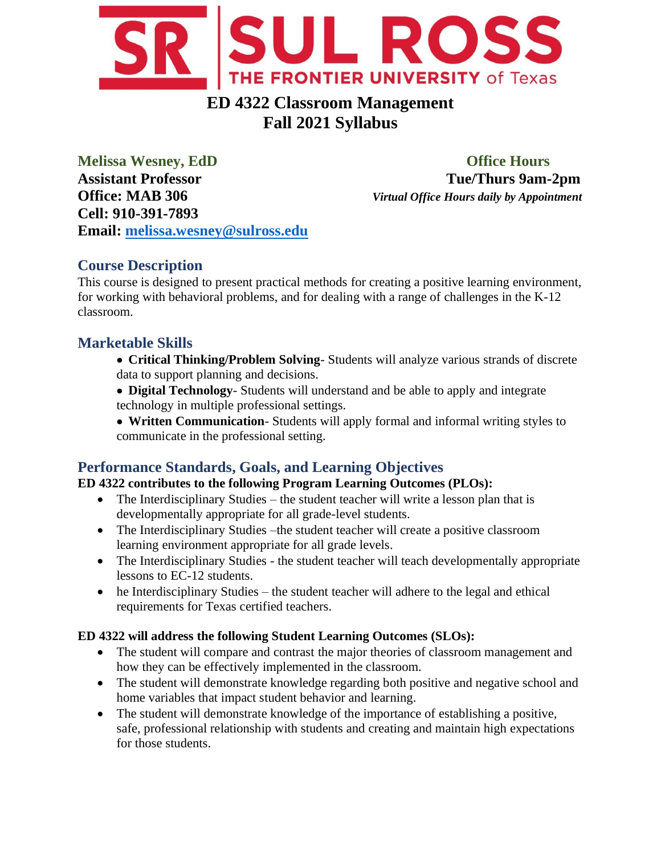

# **ED 4322 Classroom Management Fall 2021 Syllabus**

**Melissa Wesney, EdD Office Hours Assistant Professor Tue/Thurs 9am-2pm Office: MAB 306** *Virtual Office Hours daily by Appointment* **Cell: 910-391-7893 Email: [melissa.wesney@sulross.edu](mailto:melissa.wesney@sulross.edu)**

# **Course Description**

This course is designed to present practical methods for creating a positive learning environment, for working with behavioral problems, and for dealing with a range of challenges in the K-12 classroom.

# **Marketable Skills**

- **Critical Thinking/Problem Solving** Students will analyze various strands of discrete data to support planning and decisions.
- **Digital Technology** Students will understand and be able to apply and integrate technology in multiple professional settings.
- **Written Communication** Students will apply formal and informal writing styles to communicate in the professional setting.

# **Performance Standards, Goals, and Learning Objectives**

#### **ED 4322 contributes to the following Program Learning Outcomes (PLOs):**

- The Interdisciplinary Studies the student teacher will write a lesson plan that is developmentally appropriate for all grade-level students.
- The Interdisciplinary Studies –the student teacher will create a positive classroom learning environment appropriate for all grade levels.
- The Interdisciplinary Studies the student teacher will teach developmentally appropriate lessons to EC-12 students.
- he Interdisciplinary Studies the student teacher will adhere to the legal and ethical requirements for Texas certified teachers.

### **ED 4322 will address the following Student Learning Outcomes (SLOs):**

- The student will compare and contrast the major theories of classroom management and how they can be effectively implemented in the classroom.
- The student will demonstrate knowledge regarding both positive and negative school and home variables that impact student behavior and learning.
- The student will demonstrate knowledge of the importance of establishing a positive, safe, professional relationship with students and creating and maintain high expectations for those students.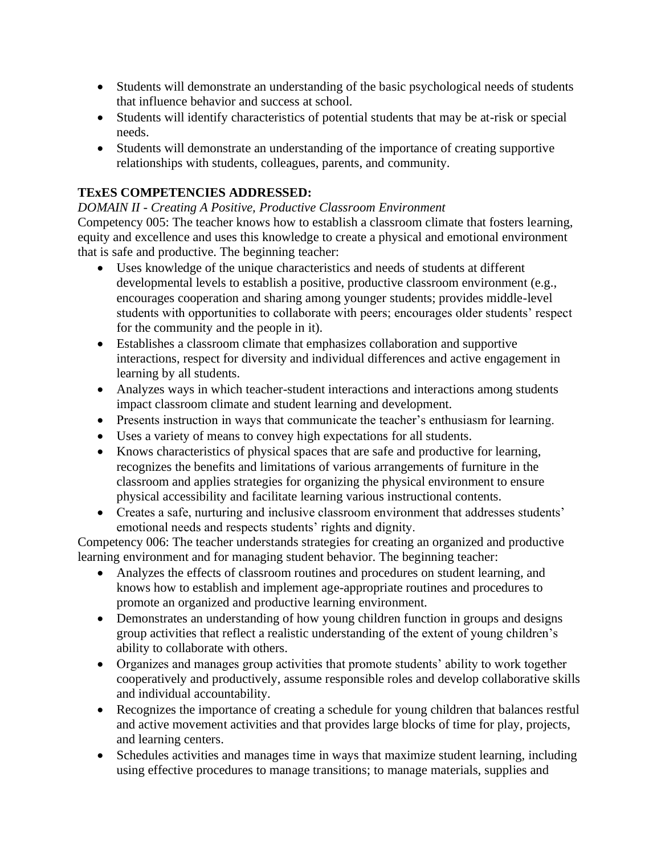- Students will demonstrate an understanding of the basic psychological needs of students that influence behavior and success at school.
- Students will identify characteristics of potential students that may be at-risk or special needs.
- Students will demonstrate an understanding of the importance of creating supportive relationships with students, colleagues, parents, and community.

### **TExES COMPETENCIES ADDRESSED:**

#### *DOMAIN II - Creating A Positive, Productive Classroom Environment*

Competency 005: The teacher knows how to establish a classroom climate that fosters learning, equity and excellence and uses this knowledge to create a physical and emotional environment that is safe and productive. The beginning teacher:

- Uses knowledge of the unique characteristics and needs of students at different developmental levels to establish a positive, productive classroom environment (e.g., encourages cooperation and sharing among younger students; provides middle-level students with opportunities to collaborate with peers; encourages older students' respect for the community and the people in it).
- Establishes a classroom climate that emphasizes collaboration and supportive interactions, respect for diversity and individual differences and active engagement in learning by all students.
- Analyzes ways in which teacher-student interactions and interactions among students impact classroom climate and student learning and development.
- Presents instruction in ways that communicate the teacher's enthusiasm for learning.
- Uses a variety of means to convey high expectations for all students.
- Knows characteristics of physical spaces that are safe and productive for learning, recognizes the benefits and limitations of various arrangements of furniture in the classroom and applies strategies for organizing the physical environment to ensure physical accessibility and facilitate learning various instructional contents.
- Creates a safe, nurturing and inclusive classroom environment that addresses students' emotional needs and respects students' rights and dignity.

Competency 006: The teacher understands strategies for creating an organized and productive learning environment and for managing student behavior. The beginning teacher:

- Analyzes the effects of classroom routines and procedures on student learning, and knows how to establish and implement age-appropriate routines and procedures to promote an organized and productive learning environment.
- Demonstrates an understanding of how young children function in groups and designs group activities that reflect a realistic understanding of the extent of young children's ability to collaborate with others.
- Organizes and manages group activities that promote students' ability to work together cooperatively and productively, assume responsible roles and develop collaborative skills and individual accountability.
- Recognizes the importance of creating a schedule for young children that balances restful and active movement activities and that provides large blocks of time for play, projects, and learning centers.
- Schedules activities and manages time in ways that maximize student learning, including using effective procedures to manage transitions; to manage materials, supplies and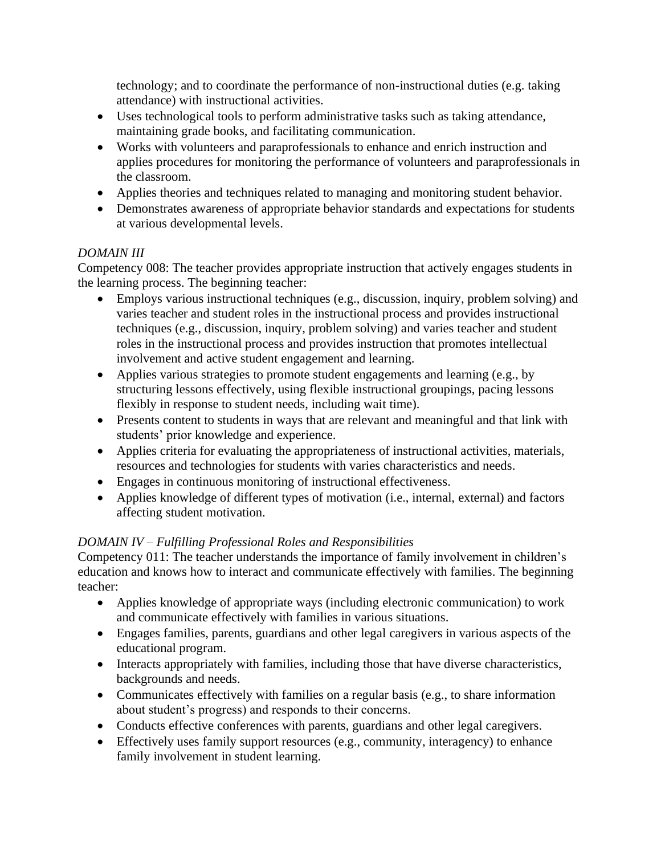technology; and to coordinate the performance of non-instructional duties (e.g. taking attendance) with instructional activities.

- Uses technological tools to perform administrative tasks such as taking attendance, maintaining grade books, and facilitating communication.
- Works with volunteers and paraprofessionals to enhance and enrich instruction and applies procedures for monitoring the performance of volunteers and paraprofessionals in the classroom.
- Applies theories and techniques related to managing and monitoring student behavior.
- Demonstrates awareness of appropriate behavior standards and expectations for students at various developmental levels.

#### *DOMAIN III*

Competency 008: The teacher provides appropriate instruction that actively engages students in the learning process. The beginning teacher:

- Employs various instructional techniques (e.g., discussion, inquiry, problem solving) and varies teacher and student roles in the instructional process and provides instructional techniques (e.g., discussion, inquiry, problem solving) and varies teacher and student roles in the instructional process and provides instruction that promotes intellectual involvement and active student engagement and learning.
- Applies various strategies to promote student engagements and learning (e.g., by structuring lessons effectively, using flexible instructional groupings, pacing lessons flexibly in response to student needs, including wait time).
- Presents content to students in ways that are relevant and meaningful and that link with students' prior knowledge and experience.
- Applies criteria for evaluating the appropriateness of instructional activities, materials, resources and technologies for students with varies characteristics and needs.
- Engages in continuous monitoring of instructional effectiveness.
- Applies knowledge of different types of motivation (i.e., internal, external) and factors affecting student motivation.

#### *DOMAIN IV – Fulfilling Professional Roles and Responsibilities*

Competency 011: The teacher understands the importance of family involvement in children's education and knows how to interact and communicate effectively with families. The beginning teacher:

- Applies knowledge of appropriate ways (including electronic communication) to work and communicate effectively with families in various situations.
- Engages families, parents, guardians and other legal caregivers in various aspects of the educational program.
- Interacts appropriately with families, including those that have diverse characteristics, backgrounds and needs.
- Communicates effectively with families on a regular basis (e.g., to share information about student's progress) and responds to their concerns.
- Conducts effective conferences with parents, guardians and other legal caregivers.
- Effectively uses family support resources (e.g., community, interagency) to enhance family involvement in student learning.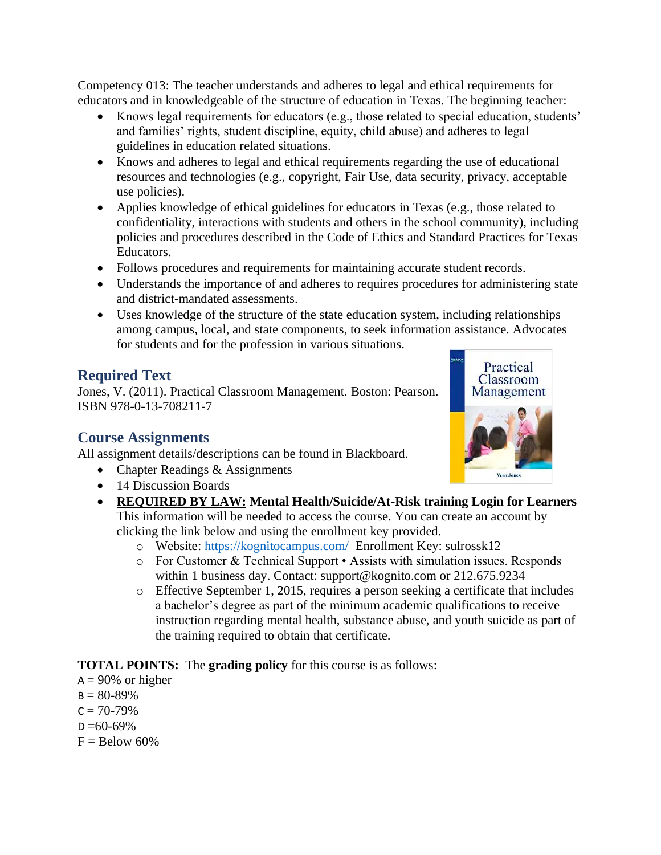Competency 013: The teacher understands and adheres to legal and ethical requirements for educators and in knowledgeable of the structure of education in Texas. The beginning teacher:

- Knows legal requirements for educators (e.g., those related to special education, students' and families' rights, student discipline, equity, child abuse) and adheres to legal guidelines in education related situations.
- Knows and adheres to legal and ethical requirements regarding the use of educational resources and technologies (e.g., copyright, Fair Use, data security, privacy, acceptable use policies).
- Applies knowledge of ethical guidelines for educators in Texas (e.g., those related to confidentiality, interactions with students and others in the school community), including policies and procedures described in the Code of Ethics and Standard Practices for Texas Educators.
- Follows procedures and requirements for maintaining accurate student records.
- Understands the importance of and adheres to requires procedures for administering state and district-mandated assessments.
- Uses knowledge of the structure of the state education system, including relationships among campus, local, and state components, to seek information assistance. Advocates for students and for the profession in various situations.

# **Required Text**

Jones, V. (2011). Practical Classroom Management. Boston: Pearson. ISBN 978-0-13-708211-7

# **Course Assignments**

All assignment details/descriptions can be found in Blackboard.

- Chapter Readings & Assignments
- 14 Discussion Boards
- **REQUIRED BY LAW: Mental Health/Suicide/At-Risk training Login for Learners** This information will be needed to access the course. You can create an account by clicking the link below and using the enrollment key provided.
	- o Website:<https://kognitocampus.com/> Enrollment Key: sulrossk12
	- o For Customer & Technical Support Assists with simulation issues. Responds within 1 business day. Contact: support@kognito.com or 212.675.9234
	- $\circ$  Effective September 1, 2015, requires a person seeking a certificate that includes a bachelor's degree as part of the minimum academic qualifications to receive instruction regarding mental health, substance abuse, and youth suicide as part of the training required to obtain that certificate.

**TOTAL POINTS:** The **grading policy** for this course is as follows:

- $A = 90\%$  or higher
- $B = 80 89\%$
- $C = 70 79\%$
- $D = 60 69\%$
- $F =$ Below 60%

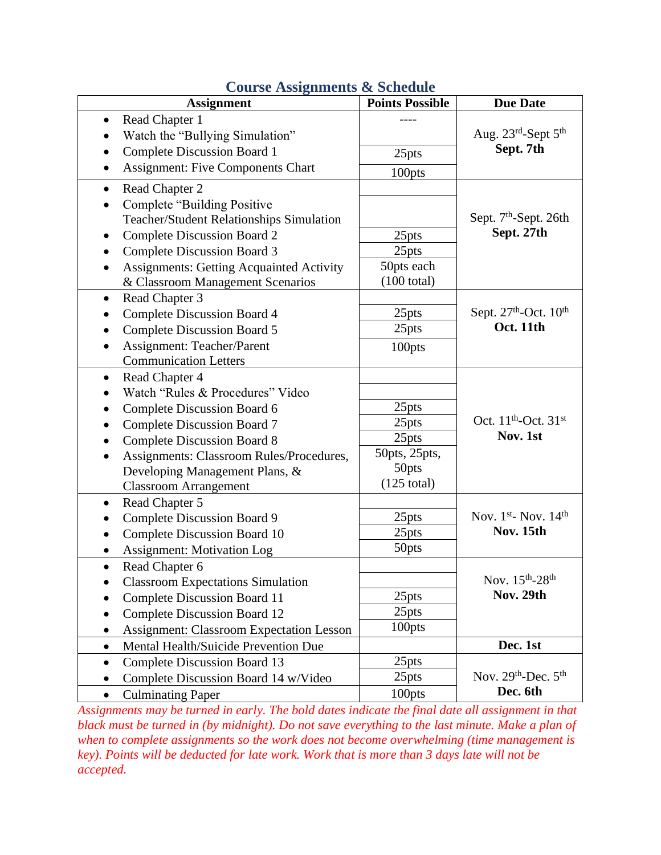| <b>Assignment</b>                                    | <b>Points Possible</b> | <b>Due Date</b>                                          |
|------------------------------------------------------|------------------------|----------------------------------------------------------|
| Read Chapter 1<br>$\bullet$                          |                        |                                                          |
| Watch the "Bullying Simulation"                      |                        | Aug. 23rd-Sept 5th<br>Sept. 7th                          |
| <b>Complete Discussion Board 1</b>                   | 25pts                  |                                                          |
| <b>Assignment: Five Components Chart</b>             | 100pts                 |                                                          |
| Read Chapter 2<br>$\bullet$                          |                        |                                                          |
| <b>Complete "Building Positive</b>                   |                        |                                                          |
| Teacher/Student Relationships Simulation             |                        | Sept. 7 <sup>th</sup> -Sept. 26th<br>Sept. 27th          |
| <b>Complete Discussion Board 2</b><br>٠              | 25pts                  |                                                          |
| <b>Complete Discussion Board 3</b>                   | 25pts                  |                                                          |
| <b>Assignments: Getting Acquainted Activity</b>      | 50pts each             |                                                          |
| & Classroom Management Scenarios                     | $(100 \text{ total})$  |                                                          |
| Read Chapter 3<br>$\bullet$                          |                        |                                                          |
| <b>Complete Discussion Board 4</b>                   | 25pts                  | Sept. 27th-Oct. 10th<br>Oct. 11th                        |
| <b>Complete Discussion Board 5</b><br>$\bullet$      | 25pts                  |                                                          |
| Assignment: Teacher/Parent                           | 100pts                 |                                                          |
| <b>Communication Letters</b>                         |                        |                                                          |
| Read Chapter 4<br>$\bullet$                          |                        |                                                          |
| Watch "Rules & Procedures" Video                     |                        | Oct. 11 <sup>th</sup> -Oct. 31 <sup>st</sup><br>Nov. 1st |
| Complete Discussion Board 6                          | 25pts                  |                                                          |
| <b>Complete Discussion Board 7</b>                   | 25pts                  |                                                          |
| <b>Complete Discussion Board 8</b><br>$\bullet$      | 25pts                  |                                                          |
| Assignments: Classroom Rules/Procedures,             | 50pts, 25pts,          |                                                          |
| Developing Management Plans, &                       | 50pts                  |                                                          |
| <b>Classroom Arrangement</b>                         | $(125$ total)          |                                                          |
| Read Chapter 5<br>$\bullet$                          |                        |                                                          |
| <b>Complete Discussion Board 9</b><br>$\bullet$      | 25 <sub>pts</sub>      | Nov. $1st$ - Nov. $14th$<br>Nov. 15th                    |
| <b>Complete Discussion Board 10</b>                  | 25pts                  |                                                          |
| <b>Assignment: Motivation Log</b>                    | 50pts                  |                                                          |
| Read Chapter 6<br>$\bullet$                          |                        |                                                          |
| <b>Classroom Expectations Simulation</b>             |                        | Nov. 15th-28th<br>Nov. 29th                              |
| <b>Complete Discussion Board 11</b>                  | 25pts                  |                                                          |
| <b>Complete Discussion Board 12</b>                  | 25pts                  |                                                          |
| <b>Assignment: Classroom Expectation Lesson</b><br>٠ | 100 <sub>pts</sub>     |                                                          |
| Mental Health/Suicide Prevention Due<br>$\bullet$    |                        | Dec. 1st                                                 |
| Complete Discussion Board 13<br>$\bullet$            | 25pts                  |                                                          |
| Complete Discussion Board 14 w/Video                 | 25pts                  | Nov. $29th$ -Dec. $5th$                                  |
| <b>Culminating Paper</b><br>$\bullet$                | 100pts                 | Dec. 6th                                                 |

### **Course Assignments & Schedule**

*Assignments may be turned in early. The bold dates indicate the final date all assignment in that black must be turned in (by midnight). Do not save everything to the last minute. Make a plan of when to complete assignments so the work does not become overwhelming (time management is key). Points will be deducted for late work. Work that is more than 3 days late will not be accepted.*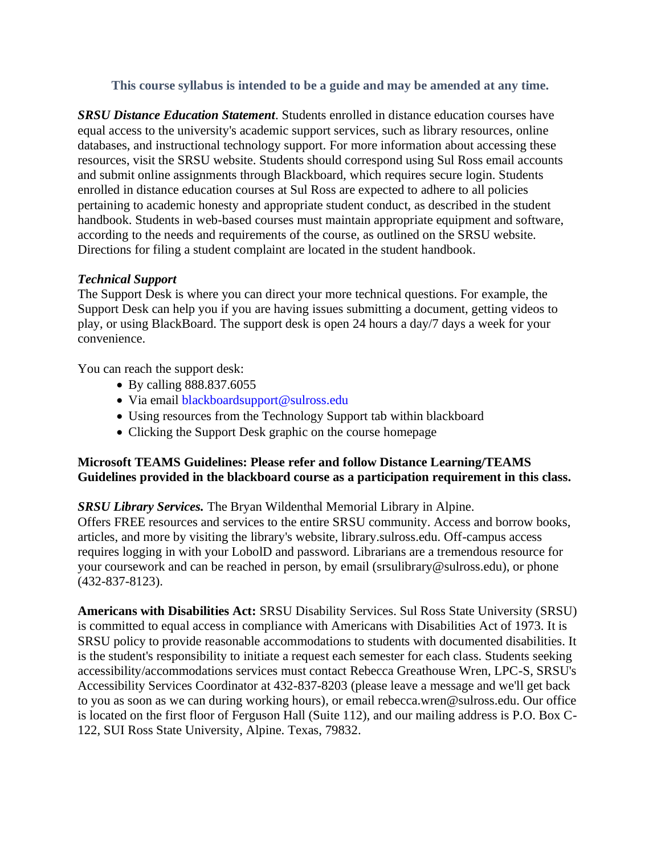**This course syllabus is intended to be a guide and may be amended at any time.**

*SRSU Distance Education Statement*. Students enrolled in distance education courses have equal access to the university's academic support services, such as library resources, online databases, and instructional technology support. For more information about accessing these resources, visit the SRSU website. Students should correspond using Sul Ross email accounts and submit online assignments through Blackboard, which requires secure login. Students enrolled in distance education courses at Sul Ross are expected to adhere to all policies pertaining to academic honesty and appropriate student conduct, as described in the student handbook. Students in web-based courses must maintain appropriate equipment and software, according to the needs and requirements of the course, as outlined on the SRSU website. Directions for filing a student complaint are located in the student handbook.

#### *Technical Support*

The Support Desk is where you can direct your more technical questions. For example, the Support Desk can help you if you are having issues submitting a document, getting videos to play, or using BlackBoard. The support desk is open 24 hours a day/7 days a week for your convenience.

You can reach the support desk:

- By calling 888.837.6055
- Via email blackboardsupport@sulross.edu
- Using resources from the Technology Support tab within blackboard
- Clicking the Support Desk graphic on the course homepage

#### **Microsoft TEAMS Guidelines: Please refer and follow Distance Learning/TEAMS Guidelines provided in the blackboard course as a participation requirement in this class.**

*SRSU Library Services.* The Bryan Wildenthal Memorial Library in Alpine.

Offers FREE resources and services to the entire SRSU community. Access and borrow books, articles, and more by visiting the library's website, library.sulross.edu. Off-campus access requires logging in with your LobolD and password. Librarians are a tremendous resource for your coursework and can be reached in person, by email (srsulibrary@sulross.edu), or phone (432-837-8123).

**Americans with Disabilities Act:** SRSU Disability Services. Sul Ross State University (SRSU) is committed to equal access in compliance with Americans with Disabilities Act of 1973. It is SRSU policy to provide reasonable accommodations to students with documented disabilities. It is the student's responsibility to initiate a request each semester for each class. Students seeking accessibility/accommodations services must contact Rebecca Greathouse Wren, LPC-S, SRSU's Accessibility Services Coordinator at 432-837-8203 (please leave a message and we'll get back to you as soon as we can during working hours), or email rebecca.wren@sulross.edu. Our office is located on the first floor of Ferguson Hall (Suite 112), and our mailing address is P.O. Box C-122, SUI Ross State University, Alpine. Texas, 79832.